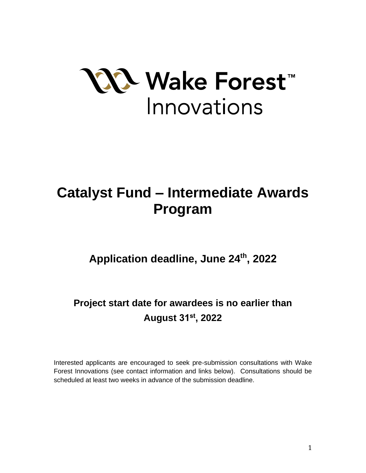

# **Catalyst Fund – Intermediate Awards Program**

**Application deadline, June 24th , 2022**

**Project start date for awardees is no earlier than August 31st, 2022**

Interested applicants are encouraged to seek pre-submission consultations with Wake Forest Innovations (see contact information and links below). Consultations should be scheduled at least two weeks in advance of the submission deadline.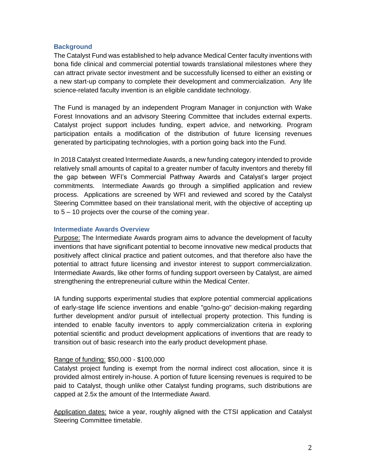## **Background**

The Catalyst Fund was established to help advance Medical Center faculty inventions with bona fide clinical and commercial potential towards translational milestones where they can attract private sector investment and be successfully licensed to either an existing or a new start-up company to complete their development and commercialization. Any life science-related faculty invention is an eligible candidate technology.

The Fund is managed by an independent Program Manager in conjunction with Wake Forest Innovations and an advisory Steering Committee that includes external experts. Catalyst project support includes funding, expert advice, and networking. Program participation entails a modification of the distribution of future licensing revenues generated by participating technologies, with a portion going back into the Fund.

In 2018 Catalyst created Intermediate Awards, a new funding category intended to provide relatively small amounts of capital to a greater number of faculty inventors and thereby fill the gap between WFI's Commercial Pathway Awards and Catalyst's larger project commitments. Intermediate Awards go through a simplified application and review process. Applications are screened by WFI and reviewed and scored by the Catalyst Steering Committee based on their translational merit, with the objective of accepting up to 5 – 10 projects over the course of the coming year.

#### **Intermediate Awards Overview**

Purpose: The Intermediate Awards program aims to advance the development of faculty inventions that have significant potential to become innovative new medical products that positively affect clinical practice and patient outcomes, and that therefore also have the potential to attract future licensing and investor interest to support commercialization. Intermediate Awards, like other forms of funding support overseen by Catalyst, are aimed strengthening the entrepreneurial culture within the Medical Center.

IA funding supports experimental studies that explore potential commercial applications of early-stage life science inventions and enable "go/no-go" decision-making regarding further development and/or pursuit of intellectual property protection. This funding is intended to enable faculty inventors to apply commercialization criteria in exploring potential scientific and product development applications of inventions that are ready to transition out of basic research into the early product development phase.

#### Range of funding: \$50,000 - \$100,000

Catalyst project funding is exempt from the normal indirect cost allocation, since it is provided almost entirely in-house. A portion of future licensing revenues is required to be paid to Catalyst, though unlike other Catalyst funding programs, such distributions are capped at 2.5x the amount of the Intermediate Award.

Application dates: twice a year, roughly aligned with the CTSI application and Catalyst Steering Committee timetable.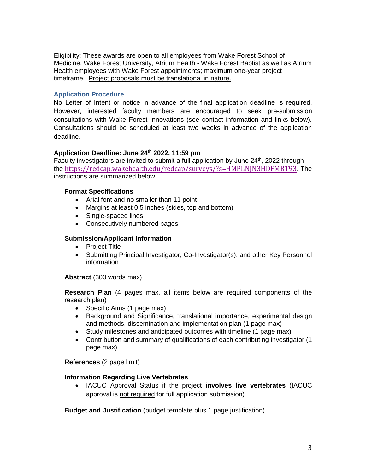Eligibility: These awards are open to all employees from Wake Forest School of Medicine, Wake Forest University, Atrium Health - Wake Forest Baptist as well as Atrium Health employees with Wake Forest appointments; maximum one-year project timeframe. Project proposals must be translational in nature.

## **Application Procedure**

No Letter of Intent or notice in advance of the final application deadline is required. However, interested faculty members are encouraged to seek pre-submission consultations with Wake Forest Innovations (see contact information and links below). Consultations should be scheduled at least two weeks in advance of the application deadline.

## **Application Deadline: June 24th 2022, 11:59 pm**

Faculty investigators are invited to submit a full application by June 24<sup>th</sup>, 2022 through the [https://redcap.wakehealth.edu/redcap/surveys/?s=HMPLNJN3HDFMRT](https://redcap.wakehealth.edu/redcap/surveys/?s=HMPLNJN3HDFMRT93)93. The instructions are summarized below.

## **Format Specifications**

- Arial font and no smaller than 11 point
- Margins at least 0.5 inches (sides, top and bottom)
- Single-spaced lines
- Consecutively numbered pages

### **Submission/Applicant Information**

- Project Title
- Submitting Principal Investigator, Co-Investigator(s), and other Key Personnel information

**Abstract** (300 words max)

**Research Plan** (4 pages max, all items below are required components of the research plan)

- Specific Aims (1 page max)
- Background and Significance, translational importance, experimental design and methods, dissemination and implementation plan (1 page max)
- Study milestones and anticipated outcomes with timeline (1 page max)
- Contribution and summary of qualifications of each contributing investigator (1 page max)

#### **References** (2 page limit)

#### **Information Regarding Live Vertebrates**

 IACUC Approval Status if the project **involves live vertebrates** (IACUC approval is not required for full application submission)

**Budget and Justification** (budget template plus 1 page justification)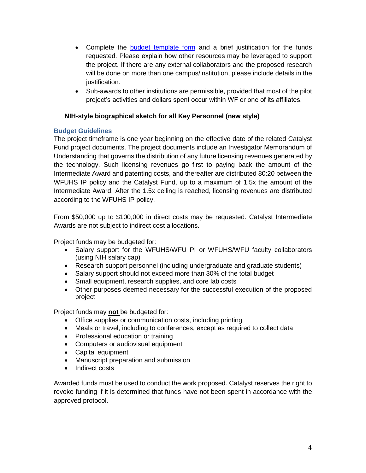- Complete the [budget template form](https://wakehealth.sharepoint.com/:x:/r/teams/CTSIWebCollection/_layouts/15/Doc.aspx?sourcedoc=%7B4A4C9F1E-84B3-4657-AE7F-B5174BF93883%7D&file=CTSI%20Pilot%20Budget%20Template.xlsx&action=default&mobileredirect=true&DefaultItemOpen=1&cid=15a4a8bb-2521-40fd-9c8b-f7d9984b5335) and a brief justification for the funds requested. Please explain how other resources may be leveraged to support the project. If there are any external collaborators and the proposed research will be done on more than one campus/institution, please include details in the justification.
- Sub-awards to other institutions are permissible, provided that most of the pilot project's activities and dollars spent occur within WF or one of its affiliates.

## **NIH-style biographical sketch for all Key Personnel (new style)**

## **Budget Guidelines**

The project timeframe is one year beginning on the effective date of the related Catalyst Fund project documents. The project documents include an Investigator Memorandum of Understanding that governs the distribution of any future licensing revenues generated by the technology. Such licensing revenues go first to paying back the amount of the Intermediate Award and patenting costs, and thereafter are distributed 80:20 between the WFUHS IP policy and the Catalyst Fund, up to a maximum of 1.5x the amount of the Intermediate Award. After the 1.5x ceiling is reached, licensing revenues are distributed according to the WFUHS IP policy.

From \$50,000 up to \$100,000 in direct costs may be requested. Catalyst Intermediate Awards are not subject to indirect cost allocations.

Project funds may be budgeted for:

- Salary support for the WFUHS/WFU PI or WFUHS/WFU faculty collaborators (using NIH salary cap)
- Research support personnel (including undergraduate and graduate students)
- Salary support should not exceed more than 30% of the total budget
- Small equipment, research supplies, and core lab costs
- Other purposes deemed necessary for the successful execution of the proposed project

Project funds may **not** be budgeted for:

- Office supplies or communication costs, including printing
- Meals or travel, including to conferences, except as required to collect data
- Professional education or training
- Computers or audiovisual equipment
- Capital equipment
- Manuscript preparation and submission
- Indirect costs

Awarded funds must be used to conduct the work proposed. Catalyst reserves the right to revoke funding if it is determined that funds have not been spent in accordance with the approved protocol.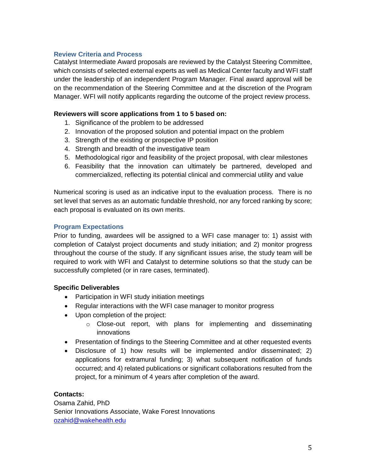## **Review Criteria and Process**

Catalyst Intermediate Award proposals are reviewed by the Catalyst Steering Committee, which consists of selected external experts as well as Medical Center faculty and WFI staff under the leadership of an independent Program Manager. Final award approval will be on the recommendation of the Steering Committee and at the discretion of the Program Manager. WFI will notify applicants regarding the outcome of the project review process.

#### **Reviewers will score applications from 1 to 5 based on:**

- 1. Significance of the problem to be addressed
- 2. Innovation of the proposed solution and potential impact on the problem
- 3. Strength of the existing or prospective IP position
- 4. Strength and breadth of the investigative team
- 5. Methodological rigor and feasibility of the project proposal, with clear milestones
- 6. Feasibility that the innovation can ultimately be partnered, developed and commercialized, reflecting its potential clinical and commercial utility and value

Numerical scoring is used as an indicative input to the evaluation process. There is no set level that serves as an automatic fundable threshold, nor any forced ranking by score; each proposal is evaluated on its own merits.

#### **Program Expectations**

Prior to funding, awardees will be assigned to a WFI case manager to: 1) assist with completion of Catalyst project documents and study initiation; and 2) monitor progress throughout the course of the study. If any significant issues arise, the study team will be required to work with WFI and Catalyst to determine solutions so that the study can be successfully completed (or in rare cases, terminated).

#### **Specific Deliverables**

- Participation in WFI study initiation meetings
- Regular interactions with the WFI case manager to monitor progress
- Upon completion of the project:
	- o Close-out report, with plans for implementing and disseminating innovations
- Presentation of findings to the Steering Committee and at other requested events
- Disclosure of 1) how results will be implemented and/or disseminated; 2) applications for extramural funding; 3) what subsequent notification of funds occurred; and 4) related publications or significant collaborations resulted from the project, for a minimum of 4 years after completion of the award.

## **Contacts:**

Osama Zahid, PhD Senior Innovations Associate, Wake Forest Innovations [ozahid@wakehealth.edu](mailto:ozahid@wakehealth.edu)